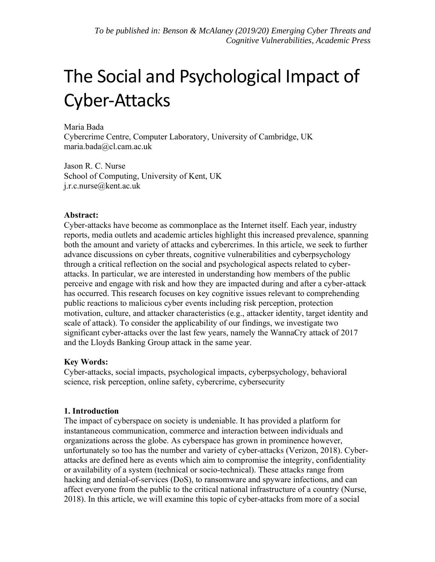# The Social and Psychological Impact of Cyber-Attacks

Maria Bada Cybercrime Centre, Computer Laboratory, University of Cambridge, UK maria.bada@cl.cam.ac.uk

Jason R. C. Nurse School of Computing, University of Kent, UK j.r.c.nurse@kent.ac.uk

#### **Abstract:**

Cyber-attacks have become as commonplace as the Internet itself. Each year, industry reports, media outlets and academic articles highlight this increased prevalence, spanning both the amount and variety of attacks and cybercrimes. In this article, we seek to further advance discussions on cyber threats, cognitive vulnerabilities and cyberpsychology through a critical reflection on the social and psychological aspects related to cyberattacks. In particular, we are interested in understanding how members of the public perceive and engage with risk and how they are impacted during and after a cyber-attack has occurred. This research focuses on key cognitive issues relevant to comprehending public reactions to malicious cyber events including risk perception, protection motivation, culture, and attacker characteristics (e.g., attacker identity, target identity and scale of attack). To consider the applicability of our findings, we investigate two significant cyber-attacks over the last few years, namely the WannaCry attack of 2017 and the Lloyds Banking Group attack in the same year.

#### **Key Words:**

Cyber-attacks, social impacts, psychological impacts, cyberpsychology, behavioral science, risk perception, online safety, cybercrime, cybersecurity

#### **1. Introduction**

The impact of cyberspace on society is undeniable. It has provided a platform for instantaneous communication, commerce and interaction between individuals and organizations across the globe. As cyberspace has grown in prominence however, unfortunately so too has the number and variety of cyber-attacks (Verizon, 2018). Cyberattacks are defined here as events which aim to compromise the integrity, confidentiality or availability of a system (technical or socio-technical). These attacks range from hacking and denial-of-services (DoS), to ransomware and spyware infections, and can affect everyone from the public to the critical national infrastructure of a country (Nurse, 2018). In this article, we will examine this topic of cyber-attacks from more of a social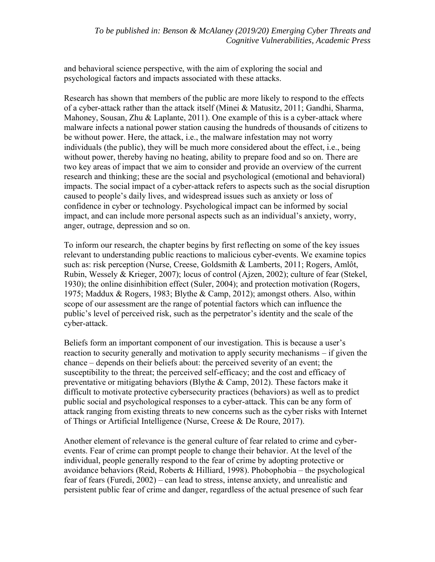and behavioral science perspective, with the aim of exploring the social and psychological factors and impacts associated with these attacks.

Research has shown that members of the public are more likely to respond to the effects of a cyber-attack rather than the attack itself (Minei & Matusitz, 2011; Gandhi, Sharma, Mahoney, Sousan, Zhu & Laplante, 2011). One example of this is a cyber-attack where malware infects a national power station causing the hundreds of thousands of citizens to be without power. Here, the attack, i.e., the malware infestation may not worry individuals (the public), they will be much more considered about the effect, i.e., being without power, thereby having no heating, ability to prepare food and so on. There are two key areas of impact that we aim to consider and provide an overview of the current research and thinking; these are the social and psychological (emotional and behavioral) impacts. The social impact of a cyber-attack refers to aspects such as the social disruption caused to people's daily lives, and widespread issues such as anxiety or loss of confidence in cyber or technology. Psychological impact can be informed by social impact, and can include more personal aspects such as an individual's anxiety, worry, anger, outrage, depression and so on.

To inform our research, the chapter begins by first reflecting on some of the key issues relevant to understanding public reactions to malicious cyber-events. We examine topics such as: risk perception (Nurse, Creese, Goldsmith & Lamberts, 2011; Rogers, Amlôt, Rubin, Wessely & Krieger, 2007); locus of control (Ajzen, 2002); culture of fear (Stekel, 1930); the online disinhibition effect (Suler, 2004); and protection motivation (Rogers, 1975; Maddux & Rogers, 1983; Blythe & Camp, 2012); amongst others. Also, within scope of our assessment are the range of potential factors which can influence the public's level of perceived risk, such as the perpetrator's identity and the scale of the cyber-attack.

Beliefs form an important component of our investigation. This is because a user's reaction to security generally and motivation to apply security mechanisms – if given the chance – depends on their beliefs about: the perceived severity of an event; the susceptibility to the threat; the perceived self-efficacy; and the cost and efficacy of preventative or mitigating behaviors (Blythe & Camp, 2012). These factors make it difficult to motivate protective cybersecurity practices (behaviors) as well as to predict public social and psychological responses to a cyber-attack. This can be any form of attack ranging from existing threats to new concerns such as the cyber risks with Internet of Things or Artificial Intelligence (Nurse, Creese & De Roure, 2017).

Another element of relevance is the general culture of fear related to crime and cyberevents. Fear of crime can prompt people to change their behavior. At the level of the individual, people generally respond to the fear of crime by adopting protective or avoidance behaviors (Reid, Roberts & Hilliard, 1998). Phobophobia – the psychological fear of fears (Furedi, 2002) – can lead to stress, intense anxiety, and unrealistic and persistent public fear of crime and danger, regardless of the actual presence of such fear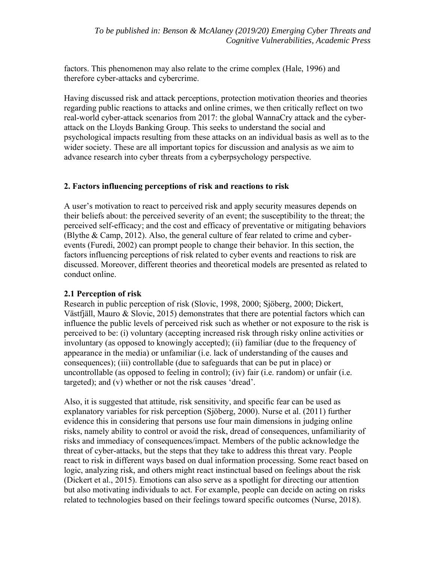factors. This phenomenon may also relate to the crime complex (Hale, 1996) and therefore cyber-attacks and cybercrime.

Having discussed risk and attack perceptions, protection motivation theories and theories regarding public reactions to attacks and online crimes, we then critically reflect on two real-world cyber-attack scenarios from 2017: the global WannaCry attack and the cyberattack on the Lloyds Banking Group. This seeks to understand the social and psychological impacts resulting from these attacks on an individual basis as well as to the wider society. These are all important topics for discussion and analysis as we aim to advance research into cyber threats from a cyberpsychology perspective.

#### **2. Factors influencing perceptions of risk and reactions to risk**

A user's motivation to react to perceived risk and apply security measures depends on their beliefs about: the perceived severity of an event; the susceptibility to the threat; the perceived self-efficacy; and the cost and efficacy of preventative or mitigating behaviors (Blythe & Camp, 2012). Also, the general culture of fear related to crime and cyberevents (Furedi, 2002) can prompt people to change their behavior. In this section, the factors influencing perceptions of risk related to cyber events and reactions to risk are discussed. Moreover, different theories and theoretical models are presented as related to conduct online.

## **2.1 Perception of risk**

Research in public perception of risk (Slovic, 1998, 2000; Sjöberg, 2000; Dickert, Västfjäll, Mauro & Slovic, 2015) demonstrates that there are potential factors which can influence the public levels of perceived risk such as whether or not exposure to the risk is perceived to be: (i) voluntary (accepting increased risk through risky online activities or involuntary (as opposed to knowingly accepted); (ii) familiar (due to the frequency of appearance in the media) or unfamiliar (i.e. lack of understanding of the causes and consequences); (iii) controllable (due to safeguards that can be put in place) or uncontrollable (as opposed to feeling in control); (iv) fair (i.e. random) or unfair (i.e. targeted); and (v) whether or not the risk causes 'dread'.

Also, it is suggested that attitude, risk sensitivity, and specific fear can be used as explanatory variables for risk perception (Sjöberg, 2000). Nurse et al. (2011) further evidence this in considering that persons use four main dimensions in judging online risks, namely ability to control or avoid the risk, dread of consequences, unfamiliarity of risks and immediacy of consequences/impact. Members of the public acknowledge the threat of cyber-attacks, but the steps that they take to address this threat vary. People react to risk in different ways based on dual information processing. Some react based on logic, analyzing risk, and others might react instinctual based on feelings about the risk (Dickert et al., 2015). Emotions can also serve as a spotlight for directing our attention but also motivating individuals to act. For example, people can decide on acting on risks related to technologies based on their feelings toward specific outcomes (Nurse, 2018).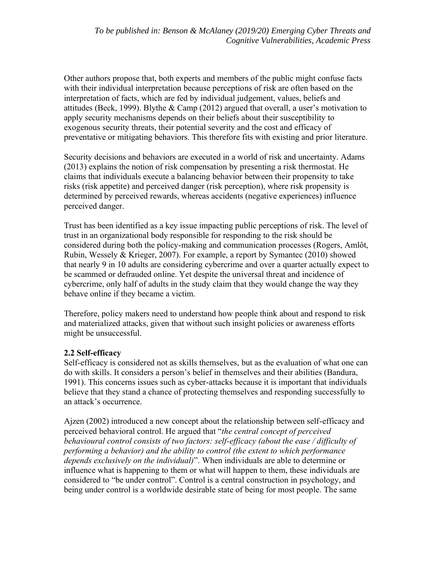Other authors propose that, both experts and members of the public might confuse facts with their individual interpretation because perceptions of risk are often based on the interpretation of facts, which are fed by individual judgement, values, beliefs and attitudes (Beck, 1999). Blythe & Camp (2012) argued that overall, a user's motivation to apply security mechanisms depends on their beliefs about their susceptibility to exogenous security threats, their potential severity and the cost and efficacy of preventative or mitigating behaviors. This therefore fits with existing and prior literature.

Security decisions and behaviors are executed in a world of risk and uncertainty. Adams (2013) explains the notion of risk compensation by presenting a risk thermostat. He claims that individuals execute a balancing behavior between their propensity to take risks (risk appetite) and perceived danger (risk perception), where risk propensity is determined by perceived rewards, whereas accidents (negative experiences) influence perceived danger.

Trust has been identified as a key issue impacting public perceptions of risk. The level of trust in an organizational body responsible for responding to the risk should be considered during both the policy-making and communication processes (Rogers, Amlôt, Rubin, Wessely & Krieger, 2007). For example, a report by Symantec (2010) showed that nearly 9 in 10 adults are considering cybercrime and over a quarter actually expect to be scammed or defrauded online. Yet despite the universal threat and incidence of cybercrime, only half of adults in the study claim that they would change the way they behave online if they became a victim.

Therefore, policy makers need to understand how people think about and respond to risk and materialized attacks, given that without such insight policies or awareness efforts might be unsuccessful.

## **2.2 Self-efficacy**

Self-efficacy is considered not as skills themselves, but as the evaluation of what one can do with skills. It considers a person's belief in themselves and their abilities (Bandura, 1991). This concerns issues such as cyber-attacks because it is important that individuals believe that they stand a chance of protecting themselves and responding successfully to an attack's occurrence.

Ajzen (2002) introduced a new concept about the relationship between self-efficacy and perceived behavioral control. He argued that "*the central concept of perceived behavioural control consists of two factors: self-efficacy (about the ease / difficulty of performing a behavior) and the ability to control (the extent to which performance depends exclusively on the individual)*". When individuals are able to determine or influence what is happening to them or what will happen to them, these individuals are considered to "be under control". Control is a central construction in psychology, and being under control is a worldwide desirable state of being for most people. The same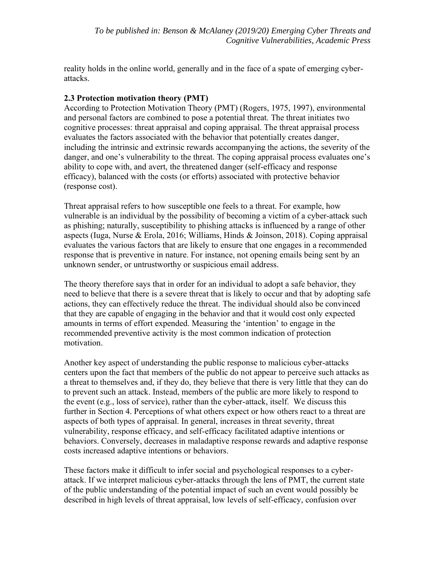reality holds in the online world, generally and in the face of a spate of emerging cyberattacks.

## **2.3 Protection motivation theory (PMT)**

According to Protection Motivation Theory (PMT) (Rogers, 1975, 1997), environmental and personal factors are combined to pose a potential threat. The threat initiates two cognitive processes: threat appraisal and coping appraisal. The threat appraisal process evaluates the factors associated with the behavior that potentially creates danger, including the intrinsic and extrinsic rewards accompanying the actions, the severity of the danger, and one's vulnerability to the threat. The coping appraisal process evaluates one's ability to cope with, and avert, the threatened danger (self-efficacy and response efficacy), balanced with the costs (or efforts) associated with protective behavior (response cost).

Threat appraisal refers to how susceptible one feels to a threat. For example, how vulnerable is an individual by the possibility of becoming a victim of a cyber-attack such as phishing; naturally, susceptibility to phishing attacks is influenced by a range of other aspects (Iuga, Nurse & Erola, 2016; Williams, Hinds & Joinson, 2018). Coping appraisal evaluates the various factors that are likely to ensure that one engages in a recommended response that is preventive in nature. For instance, not opening emails being sent by an unknown sender, or untrustworthy or suspicious email address.

The theory therefore says that in order for an individual to adopt a safe behavior, they need to believe that there is a severe threat that is likely to occur and that by adopting safe actions, they can effectively reduce the threat. The individual should also be convinced that they are capable of engaging in the behavior and that it would cost only expected amounts in terms of effort expended. Measuring the 'intention' to engage in the recommended preventive activity is the most common indication of protection motivation.

Another key aspect of understanding the public response to malicious cyber-attacks centers upon the fact that members of the public do not appear to perceive such attacks as a threat to themselves and, if they do, they believe that there is very little that they can do to prevent such an attack. Instead, members of the public are more likely to respond to the event (e.g., loss of service), rather than the cyber-attack, itself. We discuss this further in Section 4. Perceptions of what others expect or how others react to a threat are aspects of both types of appraisal. In general, increases in threat severity, threat vulnerability, response efficacy, and self-efficacy facilitated adaptive intentions or behaviors. Conversely, decreases in maladaptive response rewards and adaptive response costs increased adaptive intentions or behaviors.

These factors make it difficult to infer social and psychological responses to a cyberattack. If we interpret malicious cyber-attacks through the lens of PMT, the current state of the public understanding of the potential impact of such an event would possibly be described in high levels of threat appraisal, low levels of self-efficacy, confusion over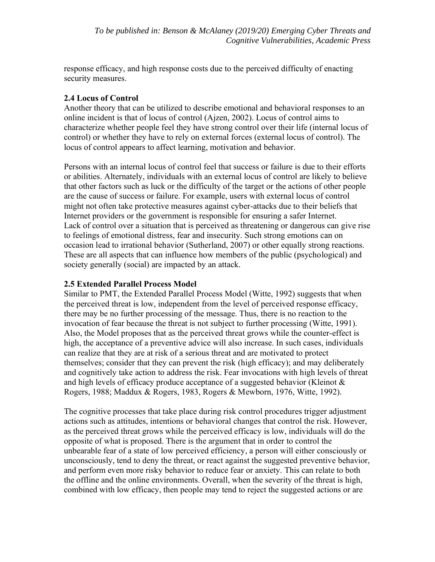response efficacy, and high response costs due to the perceived difficulty of enacting security measures.

## **2.4 Locus of Control**

Another theory that can be utilized to describe emotional and behavioral responses to an online incident is that of locus of control (Ajzen, 2002). Locus of control aims to characterize whether people feel they have strong control over their life (internal locus of control) or whether they have to rely on external forces (external locus of control). The locus of control appears to affect learning, motivation and behavior.

Persons with an internal locus of control feel that success or failure is due to their efforts or abilities. Alternately, individuals with an external locus of control are likely to believe that other factors such as luck or the difficulty of the target or the actions of other people are the cause of success or failure. For example, users with external locus of control might not often take protective measures against cyber-attacks due to their beliefs that Internet providers or the government is responsible for ensuring a safer Internet. Lack of control over a situation that is perceived as threatening or dangerous can give rise to feelings of emotional distress, fear and insecurity. Such strong emotions can on occasion lead to irrational behavior (Sutherland, 2007) or other equally strong reactions. These are all aspects that can influence how members of the public (psychological) and society generally (social) are impacted by an attack.

# **2.5 Extended Parallel Process Model**

Similar to PMT, the Extended Parallel Process Model (Witte, 1992) suggests that when the perceived threat is low, independent from the level of perceived response efficacy, there may be no further processing of the message. Thus, there is no reaction to the invocation of fear because the threat is not subject to further processing (Witte, 1991). Also, the Model proposes that as the perceived threat grows while the counter-effect is high, the acceptance of a preventive advice will also increase. In such cases, individuals can realize that they are at risk of a serious threat and are motivated to protect themselves; consider that they can prevent the risk (high efficacy); and may deliberately and cognitively take action to address the risk. Fear invocations with high levels of threat and high levels of efficacy produce acceptance of a suggested behavior (Kleinot  $\&$ Rogers, 1988; Maddux & Rogers, 1983, Rogers & Mewborn, 1976, Witte, 1992).

The cognitive processes that take place during risk control procedures trigger adjustment actions such as attitudes, intentions or behavioral changes that control the risk. However, as the perceived threat grows while the perceived efficacy is low, individuals will do the opposite of what is proposed. There is the argument that in order to control the unbearable fear of a state of low perceived efficiency, a person will either consciously or unconsciously, tend to deny the threat, or react against the suggested preventive behavior, and perform even more risky behavior to reduce fear or anxiety. This can relate to both the offline and the online environments. Overall, when the severity of the threat is high, combined with low efficacy, then people may tend to reject the suggested actions or are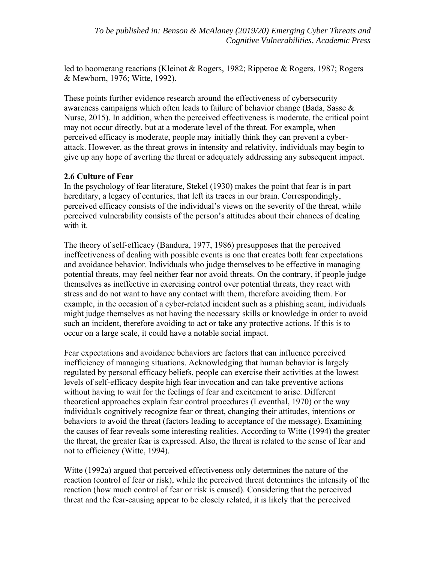led to boomerang reactions (Kleinot & Rogers, 1982; Rippetoe & Rogers, 1987; Rogers & Mewborn, 1976; Witte, 1992).

These points further evidence research around the effectiveness of cybersecurity awareness campaigns which often leads to failure of behavior change (Bada, Sasse  $\&$ Nurse, 2015). In addition, when the perceived effectiveness is moderate, the critical point may not occur directly, but at a moderate level of the threat. For example, when perceived efficacy is moderate, people may initially think they can prevent a cyberattack. However, as the threat grows in intensity and relativity, individuals may begin to give up any hope of averting the threat or adequately addressing any subsequent impact.

#### **2.6 Culture of Fear**

In the psychology of fear literature, Stekel (1930) makes the point that fear is in part hereditary, a legacy of centuries, that left its traces in our brain. Correspondingly, perceived efficacy consists of the individual's views on the severity of the threat, while perceived vulnerability consists of the person's attitudes about their chances of dealing with it.

The theory of self-efficacy (Bandura, 1977, 1986) presupposes that the perceived ineffectiveness of dealing with possible events is one that creates both fear expectations and avoidance behavior. Individuals who judge themselves to be effective in managing potential threats, may feel neither fear nor avoid threats. On the contrary, if people judge themselves as ineffective in exercising control over potential threats, they react with stress and do not want to have any contact with them, therefore avoiding them. For example, in the occasion of a cyber-related incident such as a phishing scam, individuals might judge themselves as not having the necessary skills or knowledge in order to avoid such an incident, therefore avoiding to act or take any protective actions. If this is to occur on a large scale, it could have a notable social impact.

Fear expectations and avoidance behaviors are factors that can influence perceived inefficiency of managing situations. Acknowledging that human behavior is largely regulated by personal efficacy beliefs, people can exercise their activities at the lowest levels of self-efficacy despite high fear invocation and can take preventive actions without having to wait for the feelings of fear and excitement to arise. Different theoretical approaches explain fear control procedures (Leventhal, 1970) or the way individuals cognitively recognize fear or threat, changing their attitudes, intentions or behaviors to avoid the threat (factors leading to acceptance of the message). Examining the causes of fear reveals some interesting realities. According to Witte (1994) the greater the threat, the greater fear is expressed. Also, the threat is related to the sense of fear and not to efficiency (Witte, 1994).

Witte (1992a) argued that perceived effectiveness only determines the nature of the reaction (control of fear or risk), while the perceived threat determines the intensity of the reaction (how much control of fear or risk is caused). Considering that the perceived threat and the fear-causing appear to be closely related, it is likely that the perceived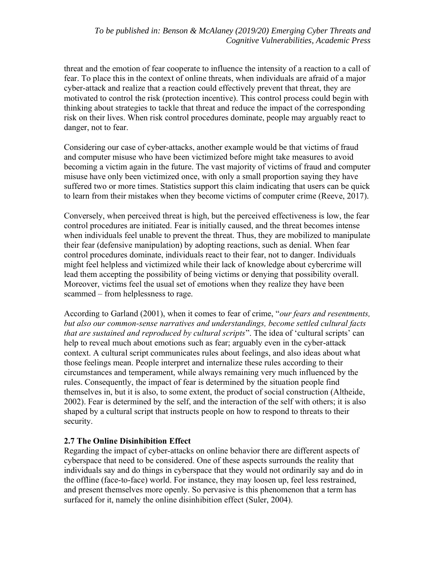threat and the emotion of fear cooperate to influence the intensity of a reaction to a call of fear. To place this in the context of online threats, when individuals are afraid of a major cyber-attack and realize that a reaction could effectively prevent that threat, they are motivated to control the risk (protection incentive). This control process could begin with thinking about strategies to tackle that threat and reduce the impact of the corresponding risk on their lives. When risk control procedures dominate, people may arguably react to danger, not to fear.

Considering our case of cyber-attacks, another example would be that victims of fraud and computer misuse who have been victimized before might take measures to avoid becoming a victim again in the future. The vast majority of victims of fraud and computer misuse have only been victimized once, with only a small proportion saying they have suffered two or more times. Statistics support this claim indicating that users can be quick to learn from their mistakes when they become victims of computer crime (Reeve, 2017).

Conversely, when perceived threat is high, but the perceived effectiveness is low, the fear control procedures are initiated. Fear is initially caused, and the threat becomes intense when individuals feel unable to prevent the threat. Thus, they are mobilized to manipulate their fear (defensive manipulation) by adopting reactions, such as denial. When fear control procedures dominate, individuals react to their fear, not to danger. Individuals might feel helpless and victimized while their lack of knowledge about cybercrime will lead them accepting the possibility of being victims or denying that possibility overall. Moreover, victims feel the usual set of emotions when they realize they have been scammed – from helplessness to rage.

According to Garland (2001), when it comes to fear of crime, "*our fears and resentments, but also our common-sense narratives and understandings, become settled cultural facts that are sustained and reproduced by cultural scripts*". The idea of 'cultural scripts' can help to reveal much about emotions such as fear; arguably even in the cyber-attack context. A cultural script communicates rules about feelings, and also ideas about what those feelings mean. People interpret and internalize these rules according to their circumstances and temperament, while always remaining very much influenced by the rules. Consequently, the impact of fear is determined by the situation people find themselves in, but it is also, to some extent, the product of social construction (Altheide, 2002). Fear is determined by the self, and the interaction of the self with others; it is also shaped by a cultural script that instructs people on how to respond to threats to their security.

## **2.7 The Online Disinhibition Effect**

Regarding the impact of cyber-attacks on online behavior there are different aspects of cyberspace that need to be considered. One of these aspects surrounds the reality that individuals say and do things in cyberspace that they would not ordinarily say and do in the offline (face-to-face) world. For instance, they may loosen up, feel less restrained, and present themselves more openly. So pervasive is this phenomenon that a term has surfaced for it, namely the online disinhibition effect (Suler, 2004).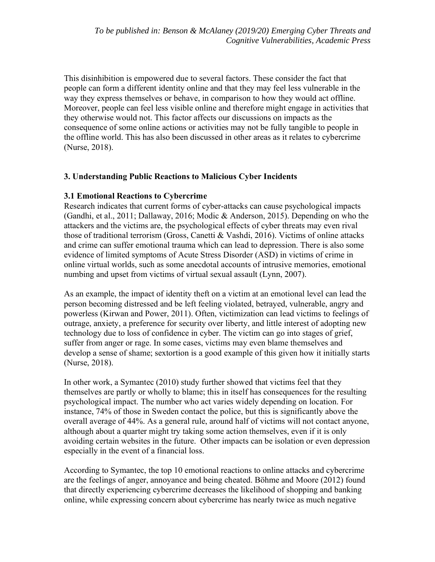This disinhibition is empowered due to several factors. These consider the fact that people can form a different identity online and that they may feel less vulnerable in the way they express themselves or behave, in comparison to how they would act offline. Moreover, people can feel less visible online and therefore might engage in activities that they otherwise would not. This factor affects our discussions on impacts as the consequence of some online actions or activities may not be fully tangible to people in the offline world. This has also been discussed in other areas as it relates to cybercrime (Nurse, 2018).

## **3. Understanding Public Reactions to Malicious Cyber Incidents**

#### **3.1 Emotional Reactions to Cybercrime**

Research indicates that current forms of cyber-attacks can cause psychological impacts (Gandhi, et al., 2011; Dallaway, 2016; Modic & Anderson, 2015). Depending on who the attackers and the victims are, the psychological effects of cyber threats may even rival those of traditional terrorism (Gross, Canetti & Vashdi, 2016). Victims of online attacks and crime can suffer emotional trauma which can lead to depression. There is also some evidence of limited symptoms of Acute Stress Disorder (ASD) in victims of crime in online virtual worlds, such as some anecdotal accounts of intrusive memories, emotional numbing and upset from victims of virtual sexual assault (Lynn, 2007).

As an example, the impact of identity theft on a victim at an emotional level can lead the person becoming distressed and be left feeling violated, betrayed, vulnerable, angry and powerless (Kirwan and Power, 2011). Often, victimization can lead victims to feelings of outrage, anxiety, a preference for security over liberty, and little interest of adopting new technology due to loss of confidence in cyber. The victim can go into stages of grief, suffer from anger or rage. In some cases, victims may even blame themselves and develop a sense of shame; sextortion is a good example of this given how it initially starts (Nurse, 2018).

In other work, a Symantec (2010) study further showed that victims feel that they themselves are partly or wholly to blame; this in itself has consequences for the resulting psychological impact. The number who act varies widely depending on location. For instance, 74% of those in Sweden contact the police, but this is significantly above the overall average of 44%. As a general rule, around half of victims will not contact anyone, although about a quarter might try taking some action themselves, even if it is only avoiding certain websites in the future. Other impacts can be isolation or even depression especially in the event of a financial loss.

According to Symantec, the top 10 emotional reactions to online attacks and cybercrime are the feelings of anger, annoyance and being cheated. Böhme and Moore (2012) found that directly experiencing cybercrime decreases the likelihood of shopping and banking online, while expressing concern about cybercrime has nearly twice as much negative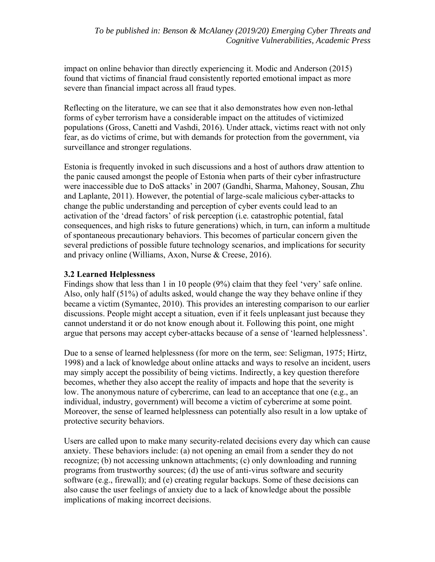impact on online behavior than directly experiencing it. Modic and Anderson (2015) found that victims of financial fraud consistently reported emotional impact as more severe than financial impact across all fraud types.

Reflecting on the literature, we can see that it also demonstrates how even non-lethal forms of cyber terrorism have a considerable impact on the attitudes of victimized populations (Gross, Canetti and Vashdi, 2016). Under attack, victims react with not only fear, as do victims of crime, but with demands for protection from the government, via surveillance and stronger regulations.

Estonia is frequently invoked in such discussions and a host of authors draw attention to the panic caused amongst the people of Estonia when parts of their cyber infrastructure were inaccessible due to DoS attacks' in 2007 (Gandhi, Sharma, Mahoney, Sousan, Zhu and Laplante, 2011). However, the potential of large-scale malicious cyber-attacks to change the public understanding and perception of cyber events could lead to an activation of the 'dread factors' of risk perception (i.e. catastrophic potential, fatal consequences, and high risks to future generations) which, in turn, can inform a multitude of spontaneous precautionary behaviors. This becomes of particular concern given the several predictions of possible future technology scenarios, and implications for security and privacy online (Williams, Axon, Nurse & Creese, 2016).

## **3.2 Learned Helplessness**

Findings show that less than 1 in 10 people (9%) claim that they feel 'very' safe online. Also, only half (51%) of adults asked, would change the way they behave online if they became a victim (Symantec, 2010). This provides an interesting comparison to our earlier discussions. People might accept a situation, even if it feels unpleasant just because they cannot understand it or do not know enough about it. Following this point, one might argue that persons may accept cyber-attacks because of a sense of 'learned helplessness'.

Due to a sense of learned helplessness (for more on the term, see: Seligman, 1975; Hirtz, 1998) and a lack of knowledge about online attacks and ways to resolve an incident, users may simply accept the possibility of being victims. Indirectly, a key question therefore becomes, whether they also accept the reality of impacts and hope that the severity is low. The anonymous nature of cybercrime, can lead to an acceptance that one (e.g., an individual, industry, government) will become a victim of cybercrime at some point. Moreover, the sense of learned helplessness can potentially also result in a low uptake of protective security behaviors.

Users are called upon to make many security-related decisions every day which can cause anxiety. These behaviors include: (a) not opening an email from a sender they do not recognize; (b) not accessing unknown attachments; (c) only downloading and running programs from trustworthy sources; (d) the use of anti-virus software and security software (e.g., firewall); and (e) creating regular backups. Some of these decisions can also cause the user feelings of anxiety due to a lack of knowledge about the possible implications of making incorrect decisions.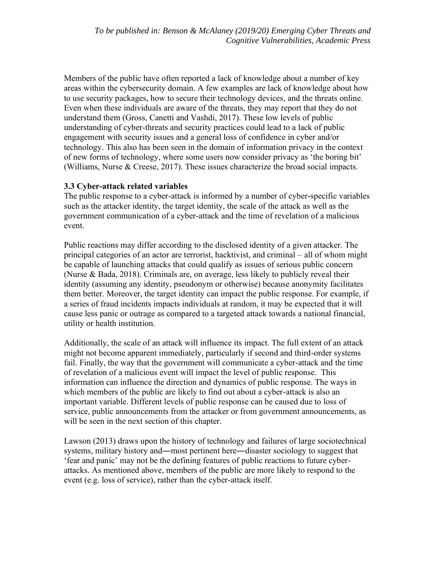Members of the public have often reported a lack of knowledge about a number of key areas within the cybersecurity domain. A few examples are lack of knowledge about how to use security packages, how to secure their technology devices, and the threats online. Even when these individuals are aware of the threats, they may report that they do not understand them (Gross, Canetti and Vashdi, 2017). These low levels of public understanding of cyber-threats and security practices could lead to a lack of public engagement with security issues and a general loss of confidence in cyber and/or technology. This also has been seen in the domain of information privacy in the context of new forms of technology, where some users now consider privacy as 'the boring bit' (Williams, Nurse & Creese, 2017). These issues characterize the broad social impacts.

## **3.3 Cyber-attack related variables**

The public response to a cyber-attack is informed by a number of cyber-specific variables such as the attacker identity, the target identity, the scale of the attack as well as the government communication of a cyber-attack and the time of revelation of a malicious event.

Public reactions may differ according to the disclosed identity of a given attacker. The principal categories of an actor are terrorist, hacktivist, and criminal – all of whom might be capable of launching attacks that could qualify as issues of serious public concern (Nurse & Bada, 2018). Criminals are, on average, less likely to publicly reveal their identity (assuming any identity, pseudonym or otherwise) because anonymity facilitates them better. Moreover, the target identity can impact the public response. For example, if a series of fraud incidents impacts individuals at random, it may be expected that it will cause less panic or outrage as compared to a targeted attack towards a national financial, utility or health institution.

Additionally, the scale of an attack will influence its impact. The full extent of an attack might not become apparent immediately, particularly if second and third-order systems fail. Finally, the way that the government will communicate a cyber-attack and the time of revelation of a malicious event will impact the level of public response. This information can influence the direction and dynamics of public response. The ways in which members of the public are likely to find out about a cyber-attack is also an important variable. Different levels of public response can be caused due to loss of service, public announcements from the attacker or from government announcements, as will be seen in the next section of this chapter.

Lawson (2013) draws upon the history of technology and failures of large sociotechnical systems, military history and―most pertinent here―disaster sociology to suggest that 'fear and panic' may not be the defining features of public reactions to future cyberattacks. As mentioned above, members of the public are more likely to respond to the event (e.g. loss of service), rather than the cyber-attack itself.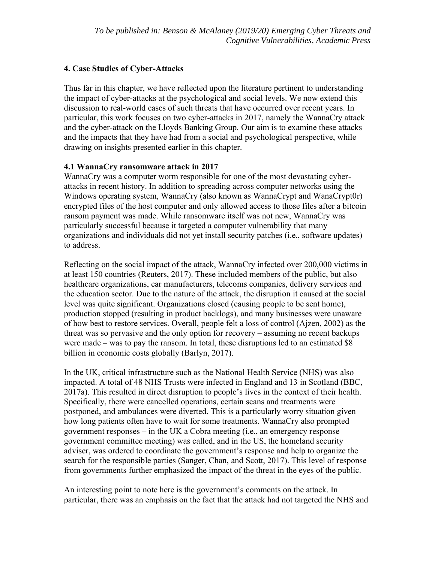## **4. Case Studies of Cyber-Attacks**

Thus far in this chapter, we have reflected upon the literature pertinent to understanding the impact of cyber-attacks at the psychological and social levels. We now extend this discussion to real-world cases of such threats that have occurred over recent years. In particular, this work focuses on two cyber-attacks in 2017, namely the WannaCry attack and the cyber-attack on the Lloyds Banking Group. Our aim is to examine these attacks and the impacts that they have had from a social and psychological perspective, while drawing on insights presented earlier in this chapter.

#### **4.1 WannaCry ransomware attack in 2017**

WannaCry was a computer worm responsible for one of the most devastating cyberattacks in recent history. In addition to spreading across computer networks using the Windows operating system, WannaCry (also known as WannaCrypt and WanaCrypt0r) encrypted files of the host computer and only allowed access to those files after a bitcoin ransom payment was made. While ransomware itself was not new, WannaCry was particularly successful because it targeted a computer vulnerability that many organizations and individuals did not yet install security patches (i.e., software updates) to address.

Reflecting on the social impact of the attack, WannaCry infected over 200,000 victims in at least 150 countries (Reuters, 2017). These included members of the public, but also healthcare organizations, car manufacturers, telecoms companies, delivery services and the education sector. Due to the nature of the attack, the disruption it caused at the social level was quite significant. Organizations closed (causing people to be sent home), production stopped (resulting in product backlogs), and many businesses were unaware of how best to restore services. Overall, people felt a loss of control (Ajzen, 2002) as the threat was so pervasive and the only option for recovery – assuming no recent backups were made – was to pay the ransom. In total, these disruptions led to an estimated \$8 billion in economic costs globally (Barlyn, 2017).

In the UK, critical infrastructure such as the National Health Service (NHS) was also impacted. A total of 48 NHS Trusts were infected in England and 13 in Scotland (BBC, 2017a). This resulted in direct disruption to people's lives in the context of their health. Specifically, there were cancelled operations, certain scans and treatments were postponed, and ambulances were diverted. This is a particularly worry situation given how long patients often have to wait for some treatments. WannaCry also prompted government responses – in the UK a Cobra meeting (i.e., an emergency response government committee meeting) was called, and in the US, the homeland security adviser, was ordered to coordinate the government's response and help to organize the search for the responsible parties (Sanger, Chan, and Scott, 2017). This level of response from governments further emphasized the impact of the threat in the eyes of the public.

An interesting point to note here is the government's comments on the attack. In particular, there was an emphasis on the fact that the attack had not targeted the NHS and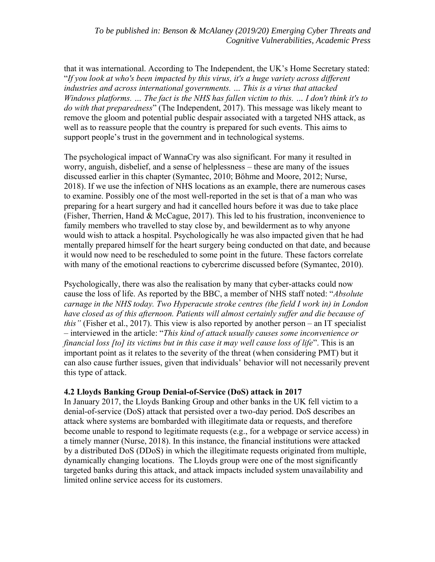that it was international. According to The Independent, the UK's Home Secretary stated: "*If you look at who's been impacted by this virus, it's a huge variety across different industries and across international governments. … This is a virus that attacked Windows platforms. … The fact is the NHS has fallen victim to this. … I don't think it's to do with that preparedness*" (The Independent, 2017). This message was likely meant to remove the gloom and potential public despair associated with a targeted NHS attack, as well as to reassure people that the country is prepared for such events. This aims to support people's trust in the government and in technological systems.

The psychological impact of WannaCry was also significant. For many it resulted in worry, anguish, disbelief, and a sense of helplessness – these are many of the issues discussed earlier in this chapter (Symantec, 2010; Böhme and Moore, 2012; Nurse, 2018). If we use the infection of NHS locations as an example, there are numerous cases to examine. Possibly one of the most well-reported in the set is that of a man who was preparing for a heart surgery and had it cancelled hours before it was due to take place (Fisher, Therrien, Hand & McCague, 2017). This led to his frustration, inconvenience to family members who travelled to stay close by, and bewilderment as to why anyone would wish to attack a hospital. Psychologically he was also impacted given that he had mentally prepared himself for the heart surgery being conducted on that date, and because it would now need to be rescheduled to some point in the future. These factors correlate with many of the emotional reactions to cybercrime discussed before (Symantec, 2010).

Psychologically, there was also the realisation by many that cyber-attacks could now cause the loss of life. As reported by the BBC, a member of NHS staff noted: "*Absolute carnage in the NHS today. Two Hyperacute stroke centres (the field I work in) in London*  have closed as of this afternoon. Patients will almost certainly suffer and die because of *this"* (Fisher et al., 2017). This view is also reported by another person – an IT specialist – interviewed in the article: "*This kind of attack usually causes some inconvenience or financial loss [to] its victims but in this case it may well cause loss of life*". This is an important point as it relates to the severity of the threat (when considering PMT) but it can also cause further issues, given that individuals' behavior will not necessarily prevent this type of attack.

## **4.2 Lloyds Banking Group Denial-of-Service (DoS) attack in 2017**

In January 2017, the Lloyds Banking Group and other banks in the UK fell victim to a denial-of-service (DoS) attack that persisted over a two-day period. DoS describes an attack where systems are bombarded with illegitimate data or requests, and therefore become unable to respond to legitimate requests (e.g., for a webpage or service access) in a timely manner (Nurse, 2018). In this instance, the financial institutions were attacked by a distributed DoS (DDoS) in which the illegitimate requests originated from multiple, dynamically changing locations. The Lloyds group were one of the most significantly targeted banks during this attack, and attack impacts included system unavailability and limited online service access for its customers.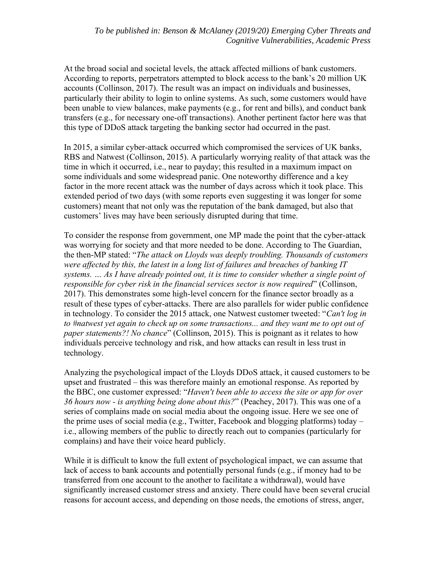At the broad social and societal levels, the attack affected millions of bank customers. According to reports, perpetrators attempted to block access to the bank's 20 million UK accounts (Collinson, 2017). The result was an impact on individuals and businesses, particularly their ability to login to online systems. As such, some customers would have been unable to view balances, make payments (e.g., for rent and bills), and conduct bank transfers (e.g., for necessary one-off transactions). Another pertinent factor here was that this type of DDoS attack targeting the banking sector had occurred in the past.

In 2015, a similar cyber-attack occurred which compromised the services of UK banks, RBS and Natwest (Collinson, 2015). A particularly worrying reality of that attack was the time in which it occurred, i.e., near to payday; this resulted in a maximum impact on some individuals and some widespread panic. One noteworthy difference and a key factor in the more recent attack was the number of days across which it took place. This extended period of two days (with some reports even suggesting it was longer for some customers) meant that not only was the reputation of the bank damaged, but also that customers' lives may have been seriously disrupted during that time.

To consider the response from government, one MP made the point that the cyber-attack was worrying for society and that more needed to be done. According to The Guardian, the then-MP stated: "*The attack on Lloyds was deeply troubling. Thousands of customers were affected by this, the latest in a long list of failures and breaches of banking IT systems. … As I have already pointed out, it is time to consider whether a single point of responsible for cyber risk in the financial services sector is now required*" (Collinson, 2017). This demonstrates some high-level concern for the finance sector broadly as a result of these types of cyber-attacks. There are also parallels for wider public confidence in technology. To consider the 2015 attack, one Natwest customer tweeted: "*Can't log in to #natwest yet again to check up on some transactions... and they want me to opt out of paper statements?! No chance*" (Collinson, 2015). This is poignant as it relates to how individuals perceive technology and risk, and how attacks can result in less trust in technology.

Analyzing the psychological impact of the Lloyds DDoS attack, it caused customers to be upset and frustrated – this was therefore mainly an emotional response. As reported by the BBC, one customer expressed: "*Haven't been able to access the site or app for over 36 hours now - is anything being done about this?*" (Peachey, 2017). This was one of a series of complains made on social media about the ongoing issue. Here we see one of the prime uses of social media (e.g., Twitter, Facebook and blogging platforms) today – i.e., allowing members of the public to directly reach out to companies (particularly for complains) and have their voice heard publicly.

While it is difficult to know the full extent of psychological impact, we can assume that lack of access to bank accounts and potentially personal funds (e.g., if money had to be transferred from one account to the another to facilitate a withdrawal), would have significantly increased customer stress and anxiety. There could have been several crucial reasons for account access, and depending on those needs, the emotions of stress, anger,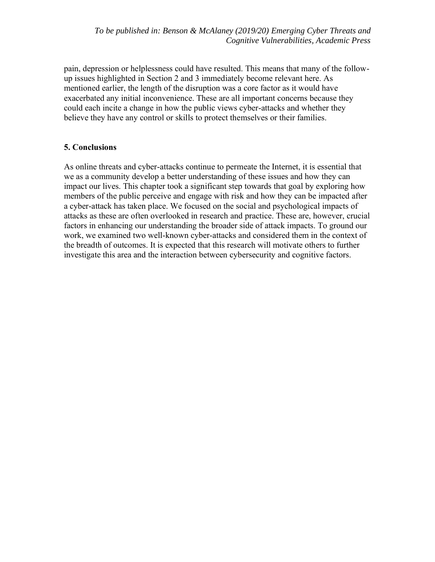pain, depression or helplessness could have resulted. This means that many of the followup issues highlighted in Section 2 and 3 immediately become relevant here. As mentioned earlier, the length of the disruption was a core factor as it would have exacerbated any initial inconvenience. These are all important concerns because they could each incite a change in how the public views cyber-attacks and whether they believe they have any control or skills to protect themselves or their families.

## **5. Conclusions**

As online threats and cyber-attacks continue to permeate the Internet, it is essential that we as a community develop a better understanding of these issues and how they can impact our lives. This chapter took a significant step towards that goal by exploring how members of the public perceive and engage with risk and how they can be impacted after a cyber-attack has taken place. We focused on the social and psychological impacts of attacks as these are often overlooked in research and practice. These are, however, crucial factors in enhancing our understanding the broader side of attack impacts. To ground our work, we examined two well-known cyber-attacks and considered them in the context of the breadth of outcomes. It is expected that this research will motivate others to further investigate this area and the interaction between cybersecurity and cognitive factors.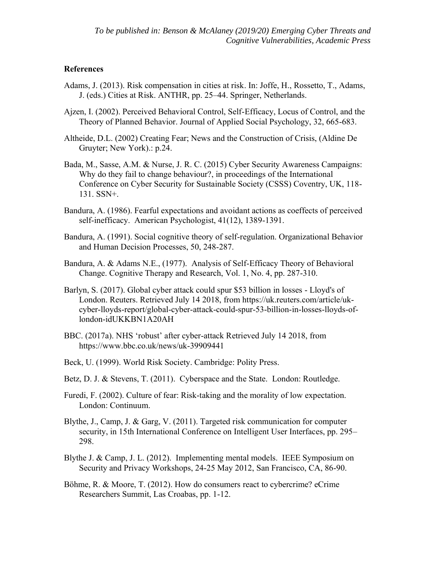#### **References**

- Adams, J. (2013). Risk compensation in cities at risk. In: Joffe, H., Rossetto, T., Adams, J. (eds.) Cities at Risk. ANTHR, pp. 25–44. Springer, Netherlands.
- Ajzen, I. (2002). Perceived Behavioral Control, Self-Efficacy, Locus of Control, and the Theory of Planned Behavior. Journal of Applied Social Psychology, 32, 665-683.
- Altheide, D.L. (2002) Creating Fear; News and the Construction of Crisis, (Aldine De Gruyter; New York).: p.24.
- Bada, M., Sasse, A.M. & Nurse, J. R. C. (2015) Cyber Security Awareness Campaigns: Why do they fail to change behaviour?, in proceedings of the International Conference on Cyber Security for Sustainable Society (CSSS) Coventry, UK, 118- 131. SSN+.
- Bandura, A. (1986). Fearful expectations and avoidant actions as coeffects of perceived self-inefficacy. American Psychologist, 41(12), 1389-1391.
- Bandura, A. (1991). Social cognitive theory of self-regulation. Organizational Behavior and Human Decision Processes, 50, 248-287.
- Bandura, Α. & Adams Ν.Ε., (1977). Analysis of Self-Efficacy Theory of Behavioral Change. Cognitive Therapy and Research, Vol. 1, No. 4, pp. 287-310.
- Barlyn, S. (2017). Global cyber attack could spur \$53 billion in losses Lloyd's of London. Reuters. Retrieved July 14 2018, from https://uk.reuters.com/article/ukcyber-lloyds-report/global-cyber-attack-could-spur-53-billion-in-losses-lloyds-oflondon-idUKKBN1A20AH
- BBC. (2017a). NHS 'robust' after cyber-attack Retrieved July 14 2018, from https://www.bbc.co.uk/news/uk-39909441
- Beck, U. (1999). World Risk Society. Cambridge: Polity Press.
- Betz, D. J. & Stevens, T. (2011). Cyberspace and the State. London: Routledge.
- Furedi, F. (2002). Culture of fear: Risk-taking and the morality of low expectation. London: Continuum.
- Blythe, J., Camp, J. & Garg, V. (2011). Targeted risk communication for computer security, in 15th International Conference on Intelligent User Interfaces, pp. 295– 298.
- Blythe J. & Camp, J. L. (2012). Implementing mental models. IEEE Symposium on Security and Privacy Workshops, 24-25 May 2012, San Francisco, CA, 86-90.
- Böhme, R. & Moore, T. (2012). How do consumers react to cybercrime? eCrime Researchers Summit, Las Croabas, pp. 1-12.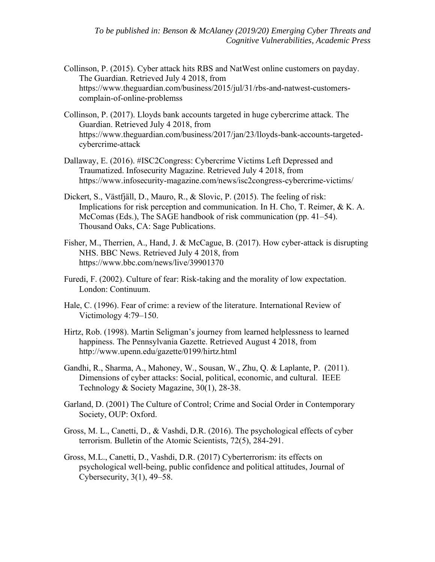- Collinson, P. (2015). Cyber attack hits RBS and NatWest online customers on payday. The Guardian. Retrieved July 4 2018, from https://www.theguardian.com/business/2015/jul/31/rbs-and-natwest-customerscomplain-of-online-problemss
- Collinson, P. (2017). Lloyds bank accounts targeted in huge cybercrime attack. The Guardian. Retrieved July 4 2018, from https://www.theguardian.com/business/2017/jan/23/lloyds-bank-accounts-targetedcybercrime-attack
- Dallaway, E. (2016). #ISC2Congress: Cybercrime Victims Left Depressed and Traumatized. Infosecurity Magazine. Retrieved July 4 2018, from https://www.infosecurity-magazine.com/news/isc2congress-cybercrime-victims/
- Dickert, S., Västfjäll, D., Mauro, R., & Slovic, P. (2015). The feeling of risk: Implications for risk perception and communication. In H. Cho, T. Reimer, & K. A. McComas (Eds.), The SAGE handbook of risk communication (pp. 41–54). Thousand Oaks, CA: Sage Publications.
- Fisher, M., Therrien, A., Hand, J. & McCague, B. (2017). How cyber-attack is disrupting NHS. BBC News. Retrieved July 4 2018, from https://www.bbc.com/news/live/39901370
- Furedi, F. (2002). Culture of fear: Risk-taking and the morality of low expectation. London: Continuum.
- Hale, C. (1996). Fear of crime: a review of the literature. International Review of Victimology 4:79–150.
- Hirtz, Rob. (1998). Martin Seligman's journey from learned helplessness to learned happiness. The Pennsylvania Gazette. Retrieved August 4 2018, from http://www.upenn.edu/gazette/0199/hirtz.html
- Gandhi, R., Sharma, A., Mahoney, W., Sousan, W., Zhu, Q. & Laplante, P. (2011). Dimensions of cyber attacks: Social, political, economic, and cultural. IEEE Technology & Society Magazine, 30(1), 28-38.
- Garland, D. (2001) The Culture of Control; Crime and Social Order in Contemporary Society, OUP: Oxford.
- Gross, M. L., Canetti, D., & Vashdi, D.R. (2016). The psychological effects of cyber terrorism. Bulletin of the Atomic Scientists, 72(5), 284-291.
- Gross, M.L., Canetti, D., Vashdi, D.R. (2017) Cyberterrorism: its effects on psychological well-being, public confidence and political attitudes, Journal of Cybersecurity, 3(1), 49–58.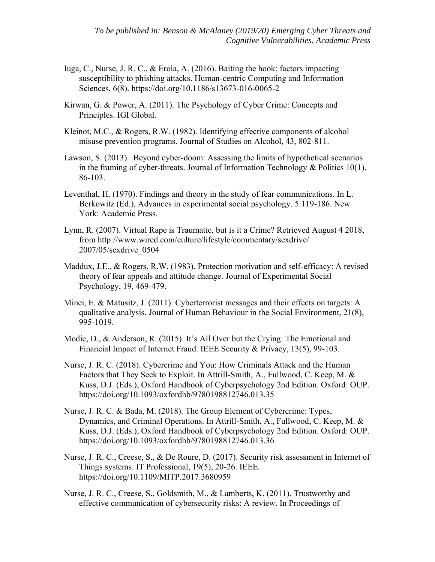- Iuga, C., Nurse, J. R. C., & Erola, A. (2016). Baiting the hook: factors impacting susceptibility to phishing attacks. Human-centric Computing and Information Sciences, 6(8). https://doi.org/10.1186/s13673-016-0065-2
- Kirwan, G. & Power, A. (2011). The Psychology of Cyber Crime: Concepts and Principles. IGI Global.
- Kleinot, M.C., & Rogers, R.W. (1982). Identifying effective components of alcohol misuse prevention programs. Journal of Studies on Alcohol, 43, 802-811.
- Lawson, S. (2013). Beyond cyber-doom: Assessing the limits of hypothetical scenarios in the framing of cyber-threats. Journal of Information Technology & Politics 10(1), 86-103.
- Leventhal, H. (1970). Findings and theory in the study of fear communications. In L. Berkowitz (Ed.), Advances in experimental social psychology. 5:119-186. New York: Academic Press.
- Lynn, R. (2007). Virtual Rape is Traumatic, but is it a Crime? Retrieved August 4 2018, from http://www.wired.com/culture/lifestyle/commentary/sexdrive/ 2007/05/sexdrive\_0504
- Maddux, J.E., & Rogers, R.W. (1983). Protection motivation and self-efficacy: A revised theory of fear appeals and attitude change. Journal of Experimental Social Psychology, 19, 469-479.
- Minei, E. & Matusitz, J. (2011). Cyberterrorist messages and their effects on targets: A qualitative analysis. Journal of Human Behaviour in the Social Environment, 21(8), 995-1019.
- Modic, D., & Anderson, R. (2015). It's All Over but the Crying: The Emotional and Financial Impact of Internet Fraud. IEEE Security & Privacy, 13(5), 99-103.
- Nurse, J. R. C. (2018). Cybercrime and You: How Criminals Attack and the Human Factors that They Seek to Exploit. In Attrill-Smith, A., Fullwood, C. Keep, M. & Kuss, D.J. (Eds.), Oxford Handbook of Cyberpsychology 2nd Edition. Oxford: OUP. https://doi.org/10.1093/oxfordhb/9780198812746.013.35
- Nurse, J. R. C. & Bada, M. (2018). The Group Element of Cybercrime: Types, Dynamics, and Criminal Operations. In Attrill-Smith, A., Fullwood, C. Keep, M. & Kuss, D.J. (Eds.), Oxford Handbook of Cyberpsychology 2nd Edition. Oxford: OUP. https://doi.org/10.1093/oxfordhb/9780198812746.013.36
- Nurse, J. R. C., Creese, S., & De Roure, D. (2017). Security risk assessment in Internet of Things systems. IT Professional, 19(5), 20-26. IEEE. https://doi.org/10.1109/MITP.2017.3680959
- Nurse, J. R. C., Creese, S., Goldsmith, M., & Lamberts, K. (2011). Trustworthy and effective communication of cybersecurity risks: A review. In Proceedings of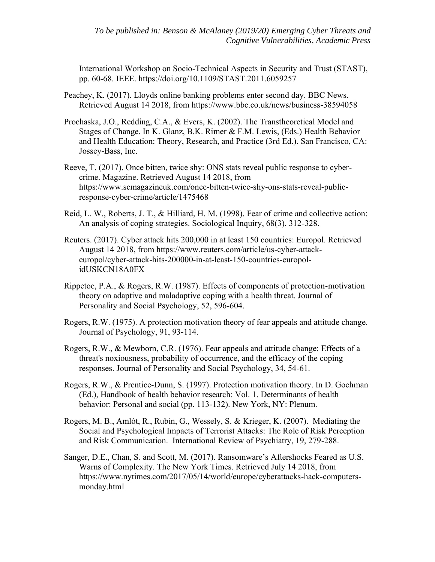International Workshop on Socio-Technical Aspects in Security and Trust (STAST), pp. 60-68. IEEE. https://doi.org/10.1109/STAST.2011.6059257

- Peachey, K. (2017). Lloyds online banking problems enter second day. BBC News. Retrieved August 14 2018, from https://www.bbc.co.uk/news/business-38594058
- Prochaska, J.O., Redding, C.A., & Evers, K. (2002). The Transtheoretical Model and Stages of Change. In K. Glanz, B.K. Rimer & F.M. Lewis, (Eds.) Health Behavior and Health Education: Theory, Research, and Practice (3rd Ed.). San Francisco, CA: Jossey-Bass, Inc.
- Reeve, T. (2017). Once bitten, twice shy: ONS stats reveal public response to cybercrime. Magazine. Retrieved August 14 2018, from https://www.scmagazineuk.com/once-bitten-twice-shy-ons-stats-reveal-publicresponse-cyber-crime/article/1475468
- Reid, L. W., Roberts, J. T., & Hilliard, H. M. (1998). Fear of crime and collective action: An analysis of coping strategies. Sociological Inquiry, 68(3), 312-328.
- Reuters. (2017). Cyber attack hits 200,000 in at least 150 countries: Europol. Retrieved August 14 2018, from https://www.reuters.com/article/us-cyber-attackeuropol/cyber-attack-hits-200000-in-at-least-150-countries-europolidUSKCN18A0FX
- Rippetoe, P.A., & Rogers, R.W. (1987). Effects of components of protection-motivation theory on adaptive and maladaptive coping with a health threat. Journal of Personality and Social Psychology, 52, 596-604.
- Rogers, R.W. (1975). A protection motivation theory of fear appeals and attitude change. Journal of Psychology, 91, 93-114.
- Rogers, R.W., & Mewborn, C.R. (1976). Fear appeals and attitude change: Effects of a threat's noxiousness, probability of occurrence, and the efficacy of the coping responses. Journal of Personality and Social Psychology, 34, 54-61.
- Rogers, R.W., & Prentice-Dunn, S. (1997). Protection motivation theory. In D. Gochman (Ed.), Handbook of health behavior research: Vol. 1. Determinants of health behavior: Personal and social (pp. 113-132). New York, NY: Plenum.
- Rogers, M. B., Amlôt, R., Rubin, G., Wessely, S. & Krieger, K. (2007). Mediating the Social and Psychological Impacts of Terrorist Attacks: The Role of Risk Perception and Risk Communication. International Review of Psychiatry, 19, 279-288.
- Sanger, D.E., Chan, S. and Scott, M. (2017). Ransomware's Aftershocks Feared as U.S. Warns of Complexity. The New York Times. Retrieved July 14 2018, from https://www.nytimes.com/2017/05/14/world/europe/cyberattacks-hack-computersmonday.html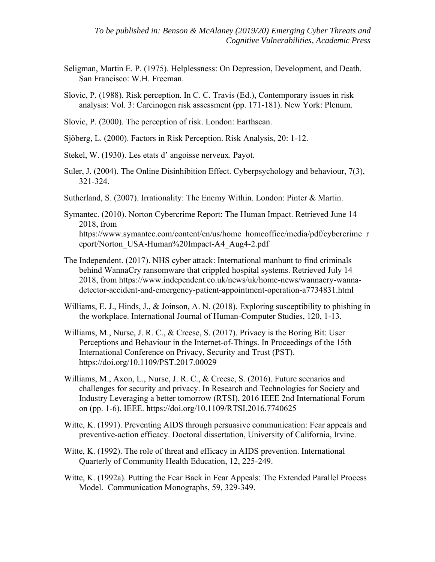- Seligman, Martin E. P. (1975). Helplessness: On Depression, Development, and Death. San Francisco: W.H. Freeman.
- Slovic, P. (1988). Risk perception. In C. C. Travis (Ed.), Contemporary issues in risk analysis: Vol. 3: Carcinogen risk assessment (pp. 171-181). New York: Plenum.
- Slovic, P. (2000). The perception of risk. London: Earthscan.
- Sjöberg, L. (2000). Factors in Risk Perception. Risk Analysis, 20: 1-12.
- Stekel, W. (1930). Les etats d' angoisse nerveux. Payot.
- Suler, J. (2004). The Online Disinhibition Effect. Cyberpsychology and behaviour, 7(3), 321-324.
- Sutherland, S. (2007). Irrationality: The Enemy Within. London: Pinter & Martin.
- Symantec. (2010). Norton Cybercrime Report: The Human Impact. Retrieved June 14 2018, from https://www.symantec.com/content/en/us/home\_homeoffice/media/pdf/cybercrime\_r eport/Norton\_USA-Human%20Impact-A4\_Aug4-2.pdf
- The Independent. (2017). NHS cyber attack: International manhunt to find criminals behind WannaCry ransomware that crippled hospital systems. Retrieved July 14 2018, from https://www.independent.co.uk/news/uk/home-news/wannacry-wannadetector-accident-and-emergency-patient-appointment-operation-a7734831.html
- Williams, E. J., Hinds, J., & Joinson, A. N. (2018). Exploring susceptibility to phishing in the workplace. International Journal of Human-Computer Studies, 120, 1-13.
- Williams, M., Nurse, J. R. C., & Creese, S. (2017). Privacy is the Boring Bit: User Perceptions and Behaviour in the Internet-of-Things. In Proceedings of the 15th International Conference on Privacy, Security and Trust (PST). https://doi.org/10.1109/PST.2017.00029
- Williams, M., Axon, L., Nurse, J. R. C., & Creese, S. (2016). Future scenarios and challenges for security and privacy. In Research and Technologies for Society and Industry Leveraging a better tomorrow (RTSI), 2016 IEEE 2nd International Forum on (pp. 1-6). IEEE. https://doi.org/10.1109/RTSI.2016.7740625
- Witte, K. (1991). Preventing AIDS through persuasive communication: Fear appeals and preventive-action efficacy. Doctoral dissertation, University of California, Irvine.
- Witte, K. (1992). The role of threat and efficacy in AIDS prevention. International Quarterly of Community Health Education, 12, 225-249.
- Witte, K. (1992a). Putting the Fear Back in Fear Appeals: The Extended Parallel Process Model. Communication Monographs, 59, 329-349.